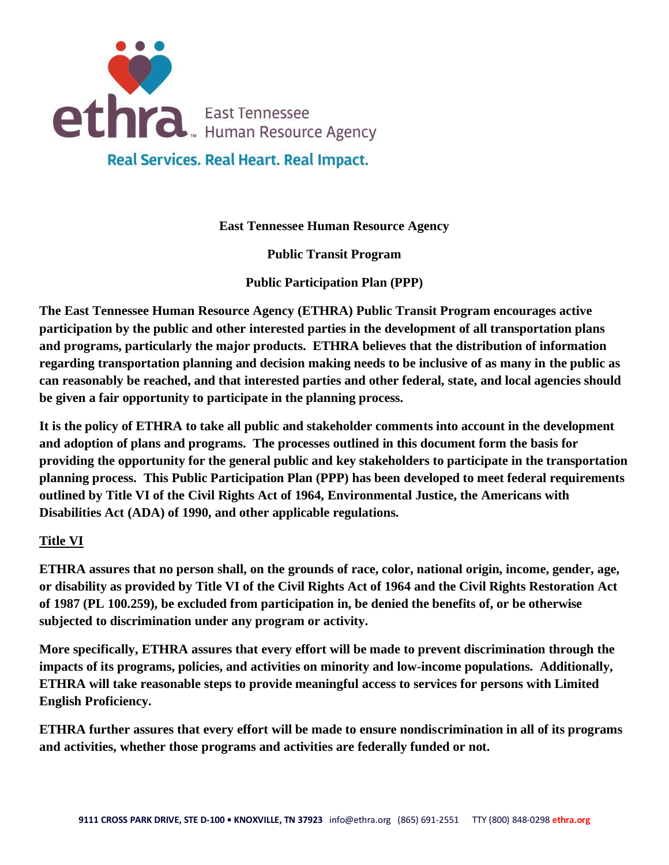

**East Tennessee Human Resource Agency**

**Public Transit Program**

**Public Participation Plan (PPP)**

**The East Tennessee Human Resource Agency (ETHRA) Public Transit Program encourages active participation by the public and other interested parties in the development of all transportation plans and programs, particularly the major products. ETHRA believes that the distribution of information regarding transportation planning and decision making needs to be inclusive of as many in the public as can reasonably be reached, and that interested parties and other federal, state, and local agencies should be given a fair opportunity to participate in the planning process.**

**It is the policy of ETHRA to take all public and stakeholder comments into account in the development and adoption of plans and programs. The processes outlined in this document form the basis for providing the opportunity for the general public and key stakeholders to participate in the transportation planning process. This Public Participation Plan (PPP) has been developed to meet federal requirements outlined by Title VI of the Civil Rights Act of 1964, Environmental Justice, the Americans with Disabilities Act (ADA) of 1990, and other applicable regulations.**

# **Title VI**

**ETHRA assures that no person shall, on the grounds of race, color, national origin, income, gender, age, or disability as provided by Title VI of the Civil Rights Act of 1964 and the Civil Rights Restoration Act of 1987 (PL 100.259), be excluded from participation in, be denied the benefits of, or be otherwise subjected to discrimination under any program or activity.**

**More specifically, ETHRA assures that every effort will be made to prevent discrimination through the impacts of its programs, policies, and activities on minority and low-income populations. Additionally, ETHRA will take reasonable steps to provide meaningful access to services for persons with Limited English Proficiency.**

**ETHRA further assures that every effort will be made to ensure nondiscrimination in all of its programs and activities, whether those programs and activities are federally funded or not.**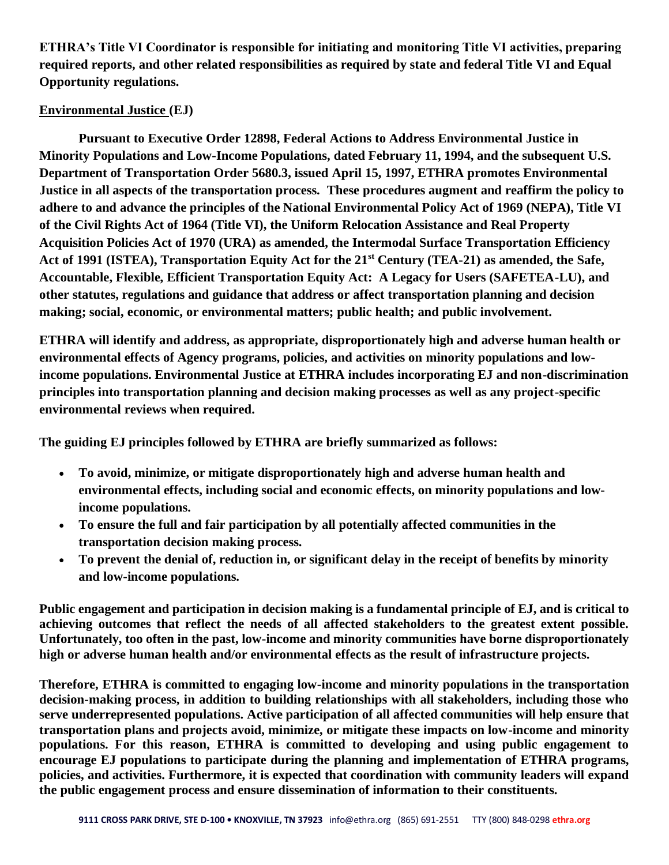**ETHRA's Title VI Coordinator is responsible for initiating and monitoring Title VI activities, preparing required reports, and other related responsibilities as required by state and federal Title VI and Equal Opportunity regulations.**

# **Environmental Justice (EJ)**

**Pursuant to Executive Order 12898, Federal Actions to Address Environmental Justice in Minority Populations and Low-Income Populations, dated February 11, 1994, and the subsequent U.S. Department of Transportation Order 5680.3, issued April 15, 1997, ETHRA promotes Environmental Justice in all aspects of the transportation process. These procedures augment and reaffirm the policy to adhere to and advance the principles of the National Environmental Policy Act of 1969 (NEPA), Title VI of the Civil Rights Act of 1964 (Title VI), the Uniform Relocation Assistance and Real Property Acquisition Policies Act of 1970 (URA) as amended, the Intermodal Surface Transportation Efficiency Act of 1991 (ISTEA), Transportation Equity Act for the 21st Century (TEA-21) as amended, the Safe, Accountable, Flexible, Efficient Transportation Equity Act: A Legacy for Users (SAFETEA-LU), and other statutes, regulations and guidance that address or affect transportation planning and decision making; social, economic, or environmental matters; public health; and public involvement.** 

**ETHRA will identify and address, as appropriate, disproportionately high and adverse human health or environmental effects of Agency programs, policies, and activities on minority populations and lowincome populations. Environmental Justice at ETHRA includes incorporating EJ and non-discrimination principles into transportation planning and decision making processes as well as any project-specific environmental reviews when required.**

**The guiding EJ principles followed by ETHRA are briefly summarized as follows:**

- **To avoid, minimize, or mitigate disproportionately high and adverse human health and environmental effects, including social and economic effects, on minority populations and lowincome populations.**
- **To ensure the full and fair participation by all potentially affected communities in the transportation decision making process.**
- **To prevent the denial of, reduction in, or significant delay in the receipt of benefits by minority and low-income populations.**

**Public engagement and participation in decision making is a fundamental principle of EJ, and is critical to achieving outcomes that reflect the needs of all affected stakeholders to the greatest extent possible. Unfortunately, too often in the past, low-income and minority communities have borne disproportionately high or adverse human health and/or environmental effects as the result of infrastructure projects.** 

**Therefore, ETHRA is committed to engaging low-income and minority populations in the transportation decision-making process, in addition to building relationships with all stakeholders, including those who serve underrepresented populations. Active participation of all affected communities will help ensure that transportation plans and projects avoid, minimize, or mitigate these impacts on low-income and minority populations. For this reason, ETHRA is committed to developing and using public engagement to encourage EJ populations to participate during the planning and implementation of ETHRA programs, policies, and activities. Furthermore, it is expected that coordination with community leaders will expand the public engagement process and ensure dissemination of information to their constituents.**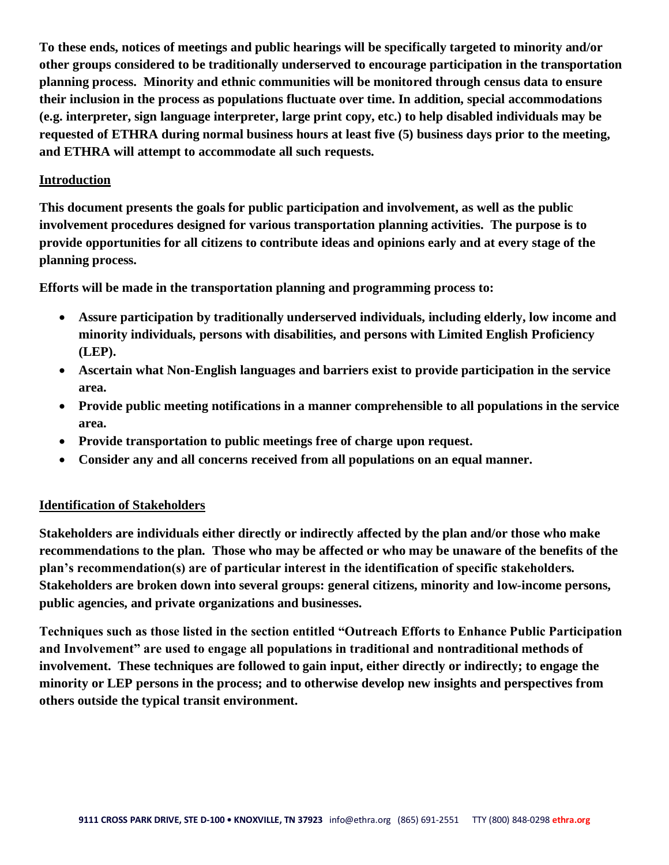**To these ends, notices of meetings and public hearings will be specifically targeted to minority and/or other groups considered to be traditionally underserved to encourage participation in the transportation planning process. Minority and ethnic communities will be monitored through census data to ensure their inclusion in the process as populations fluctuate over time. In addition, special accommodations (e.g. interpreter, sign language interpreter, large print copy, etc.) to help disabled individuals may be requested of ETHRA during normal business hours at least five (5) business days prior to the meeting, and ETHRA will attempt to accommodate all such requests.**

#### **Introduction**

**This document presents the goals for public participation and involvement, as well as the public involvement procedures designed for various transportation planning activities. The purpose is to provide opportunities for all citizens to contribute ideas and opinions early and at every stage of the planning process.**

**Efforts will be made in the transportation planning and programming process to:**

- **Assure participation by traditionally underserved individuals, including elderly, low income and minority individuals, persons with disabilities, and persons with Limited English Proficiency (LEP).**
- **Ascertain what Non-English languages and barriers exist to provide participation in the service area.**
- **Provide public meeting notifications in a manner comprehensible to all populations in the service area.**
- **Provide transportation to public meetings free of charge upon request.**
- **Consider any and all concerns received from all populations on an equal manner.**

#### **Identification of Stakeholders**

**Stakeholders are individuals either directly or indirectly affected by the plan and/or those who make recommendations to the plan. Those who may be affected or who may be unaware of the benefits of the plan's recommendation(s) are of particular interest in the identification of specific stakeholders. Stakeholders are broken down into several groups: general citizens, minority and low-income persons, public agencies, and private organizations and businesses.**

**Techniques such as those listed in the section entitled "Outreach Efforts to Enhance Public Participation and Involvement" are used to engage all populations in traditional and nontraditional methods of involvement. These techniques are followed to gain input, either directly or indirectly; to engage the minority or LEP persons in the process; and to otherwise develop new insights and perspectives from others outside the typical transit environment.**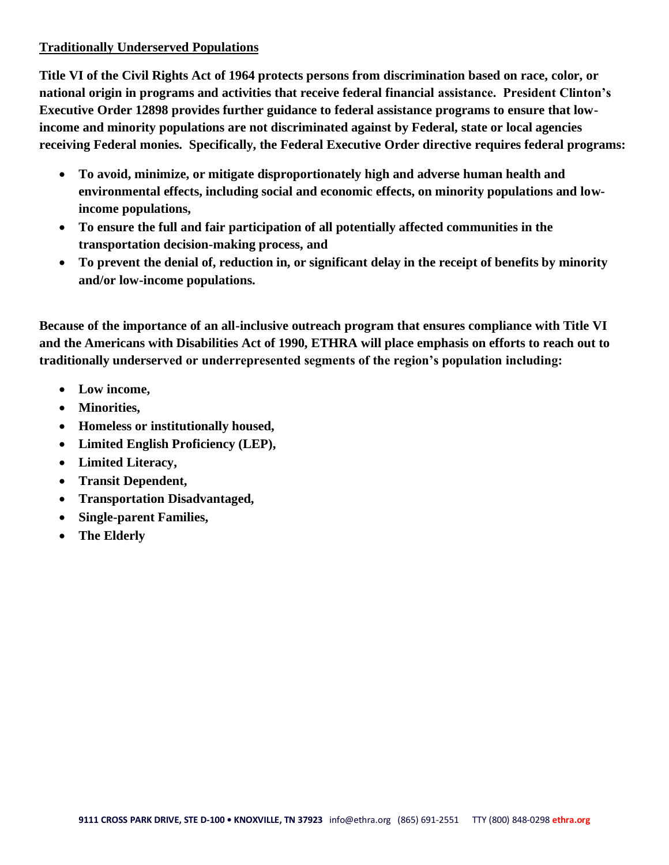# **Traditionally Underserved Populations**

**Title VI of the Civil Rights Act of 1964 protects persons from discrimination based on race, color, or national origin in programs and activities that receive federal financial assistance. President Clinton's Executive Order 12898 provides further guidance to federal assistance programs to ensure that lowincome and minority populations are not discriminated against by Federal, state or local agencies receiving Federal monies. Specifically, the Federal Executive Order directive requires federal programs:**

- **To avoid, minimize, or mitigate disproportionately high and adverse human health and environmental effects, including social and economic effects, on minority populations and lowincome populations,**
- **To ensure the full and fair participation of all potentially affected communities in the transportation decision-making process, and**
- **To prevent the denial of, reduction in, or significant delay in the receipt of benefits by minority and/or low-income populations.**

**Because of the importance of an all-inclusive outreach program that ensures compliance with Title VI and the Americans with Disabilities Act of 1990, ETHRA will place emphasis on efforts to reach out to traditionally underserved or underrepresented segments of the region's population including:**

- **Low income,**
- **Minorities,**
- **Homeless or institutionally housed,**
- **Limited English Proficiency (LEP),**
- **Limited Literacy,**
- **Transit Dependent,**
- **Transportation Disadvantaged,**
- **Single-parent Families,**
- **The Elderly**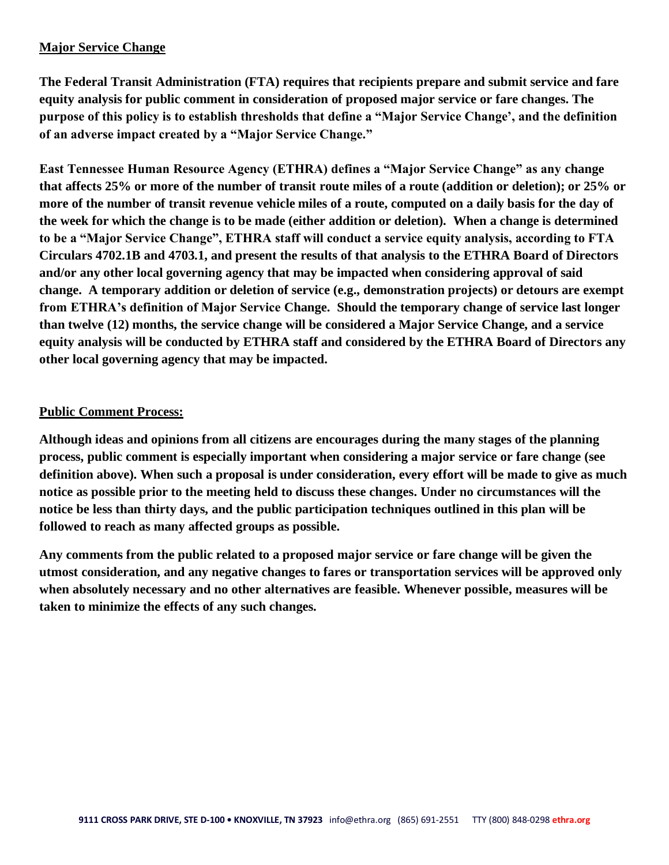# **Major Service Change**

**The Federal Transit Administration (FTA) requires that recipients prepare and submit service and fare equity analysis for public comment in consideration of proposed major service or fare changes. The purpose of this policy is to establish thresholds that define a "Major Service Change', and the definition of an adverse impact created by a "Major Service Change."**

**East Tennessee Human Resource Agency (ETHRA) defines a "Major Service Change" as any change that affects 25% or more of the number of transit route miles of a route (addition or deletion); or 25% or more of the number of transit revenue vehicle miles of a route, computed on a daily basis for the day of the week for which the change is to be made (either addition or deletion). When a change is determined to be a "Major Service Change", ETHRA staff will conduct a service equity analysis, according to FTA Circulars 4702.1B and 4703.1, and present the results of that analysis to the ETHRA Board of Directors and/or any other local governing agency that may be impacted when considering approval of said change. A temporary addition or deletion of service (e.g., demonstration projects) or detours are exempt from ETHRA's definition of Major Service Change. Should the temporary change of service last longer than twelve (12) months, the service change will be considered a Major Service Change, and a service equity analysis will be conducted by ETHRA staff and considered by the ETHRA Board of Directors any other local governing agency that may be impacted.**

## **Public Comment Process:**

**Although ideas and opinions from all citizens are encourages during the many stages of the planning process, public comment is especially important when considering a major service or fare change (see definition above). When such a proposal is under consideration, every effort will be made to give as much notice as possible prior to the meeting held to discuss these changes. Under no circumstances will the notice be less than thirty days, and the public participation techniques outlined in this plan will be followed to reach as many affected groups as possible.**

**Any comments from the public related to a proposed major service or fare change will be given the utmost consideration, and any negative changes to fares or transportation services will be approved only when absolutely necessary and no other alternatives are feasible. Whenever possible, measures will be taken to minimize the effects of any such changes.**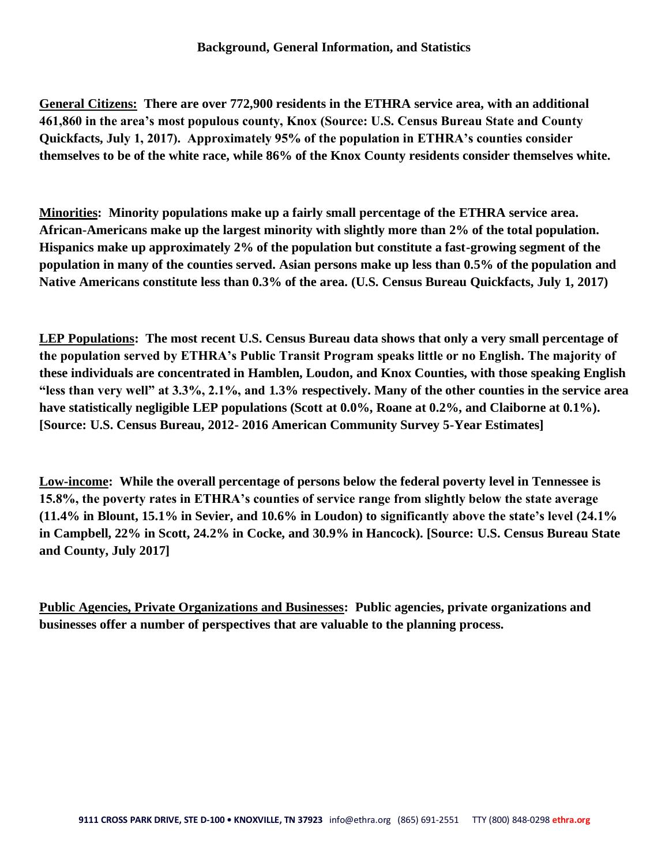**General Citizens: There are over 772,900 residents in the ETHRA service area, with an additional 461,860 in the area's most populous county, Knox (Source: U.S. Census Bureau State and County Quickfacts, July 1, 2017). Approximately 95% of the population in ETHRA's counties consider themselves to be of the white race, while 86% of the Knox County residents consider themselves white.**

**Minorities: Minority populations make up a fairly small percentage of the ETHRA service area. African-Americans make up the largest minority with slightly more than 2% of the total population. Hispanics make up approximately 2% of the population but constitute a fast-growing segment of the population in many of the counties served. Asian persons make up less than 0.5% of the population and Native Americans constitute less than 0.3% of the area. (U.S. Census Bureau Quickfacts, July 1, 2017)**

**LEP Populations: The most recent U.S. Census Bureau data shows that only a very small percentage of the population served by ETHRA's Public Transit Program speaks little or no English. The majority of these individuals are concentrated in Hamblen, Loudon, and Knox Counties, with those speaking English "less than very well" at 3.3%, 2.1%, and 1.3% respectively. Many of the other counties in the service area have statistically negligible LEP populations (Scott at 0.0%, Roane at 0.2%, and Claiborne at 0.1%). [Source: U.S. Census Bureau, 2012- 2016 American Community Survey 5-Year Estimates]**

**Low-income: While the overall percentage of persons below the federal poverty level in Tennessee is 15.8%, the poverty rates in ETHRA's counties of service range from slightly below the state average (11.4% in Blount, 15.1% in Sevier, and 10.6% in Loudon) to significantly above the state's level (24.1% in Campbell, 22% in Scott, 24.2% in Cocke, and 30.9% in Hancock). [Source: U.S. Census Bureau State and County, July 2017]**

**Public Agencies, Private Organizations and Businesses: Public agencies, private organizations and businesses offer a number of perspectives that are valuable to the planning process.**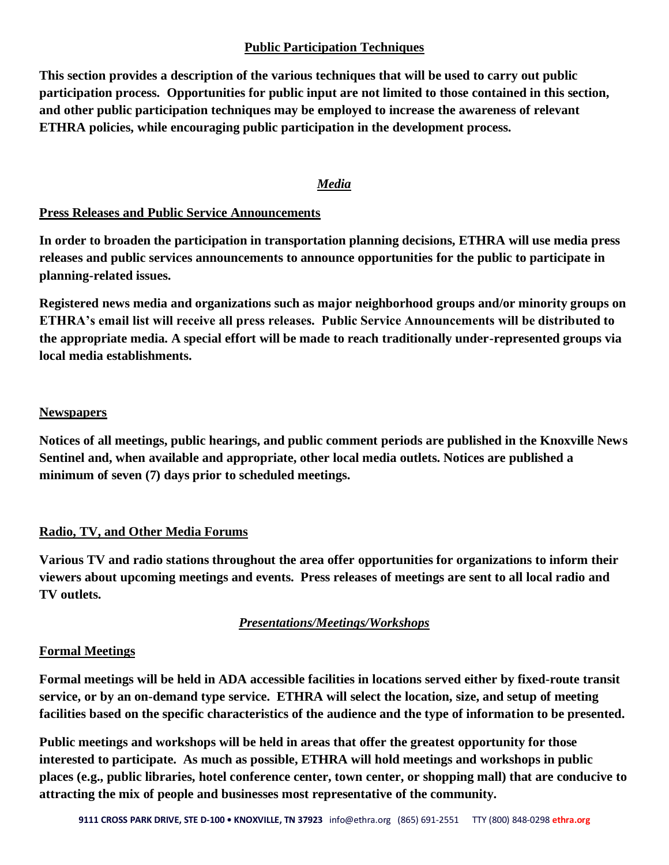# **Public Participation Techniques**

**This section provides a description of the various techniques that will be used to carry out public participation process. Opportunities for public input are not limited to those contained in this section, and other public participation techniques may be employed to increase the awareness of relevant ETHRA policies, while encouraging public participation in the development process.**

# *Media*

# **Press Releases and Public Service Announcements**

**In order to broaden the participation in transportation planning decisions, ETHRA will use media press releases and public services announcements to announce opportunities for the public to participate in planning-related issues.**

**Registered news media and organizations such as major neighborhood groups and/or minority groups on ETHRA's email list will receive all press releases. Public Service Announcements will be distributed to the appropriate media. A special effort will be made to reach traditionally under-represented groups via local media establishments.**

## **Newspapers**

**Notices of all meetings, public hearings, and public comment periods are published in the Knoxville News Sentinel and, when available and appropriate, other local media outlets. Notices are published a minimum of seven (7) days prior to scheduled meetings.**

# **Radio, TV, and Other Media Forums**

**Various TV and radio stations throughout the area offer opportunities for organizations to inform their viewers about upcoming meetings and events. Press releases of meetings are sent to all local radio and TV outlets.**

# *Presentations/Meetings/Workshops*

#### **Formal Meetings**

**Formal meetings will be held in ADA accessible facilities in locations served either by fixed-route transit service, or by an on-demand type service. ETHRA will select the location, size, and setup of meeting facilities based on the specific characteristics of the audience and the type of information to be presented.**

**Public meetings and workshops will be held in areas that offer the greatest opportunity for those interested to participate. As much as possible, ETHRA will hold meetings and workshops in public places (e.g., public libraries, hotel conference center, town center, or shopping mall) that are conducive to attracting the mix of people and businesses most representative of the community.**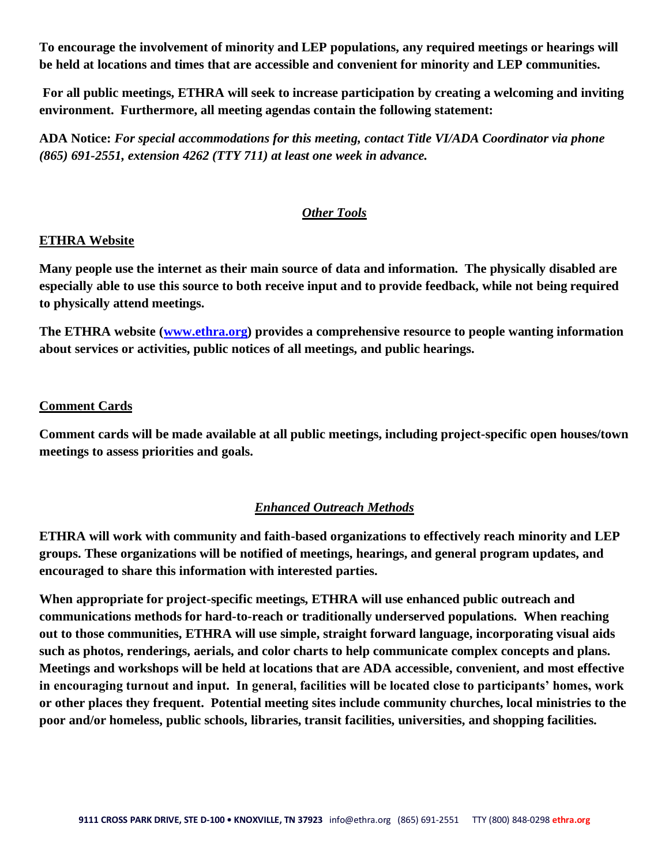**To encourage the involvement of minority and LEP populations, any required meetings or hearings will be held at locations and times that are accessible and convenient for minority and LEP communities.**

**For all public meetings, ETHRA will seek to increase participation by creating a welcoming and inviting environment. Furthermore, all meeting agendas contain the following statement:**

**ADA Notice:** *For special accommodations for this meeting, contact Title VI/ADA Coordinator via phone (865) 691-2551, extension 4262 (TTY 711) at least one week in advance.*

# *Other Tools*

#### **ETHRA Website**

**Many people use the internet as their main source of data and information. The physically disabled are especially able to use this source to both receive input and to provide feedback, while not being required to physically attend meetings.**

**The ETHRA website [\(www.ethra.org\)](http://www.ethra.org/) provides a comprehensive resource to people wanting information about services or activities, public notices of all meetings, and public hearings.**

#### **Comment Cards**

**Comment cards will be made available at all public meetings, including project-specific open houses/town meetings to assess priorities and goals.**

# *Enhanced Outreach Methods*

**ETHRA will work with community and faith-based organizations to effectively reach minority and LEP groups. These organizations will be notified of meetings, hearings, and general program updates, and encouraged to share this information with interested parties.**

**When appropriate for project-specific meetings, ETHRA will use enhanced public outreach and communications methods for hard-to-reach or traditionally underserved populations. When reaching out to those communities, ETHRA will use simple, straight forward language, incorporating visual aids such as photos, renderings, aerials, and color charts to help communicate complex concepts and plans. Meetings and workshops will be held at locations that are ADA accessible, convenient, and most effective in encouraging turnout and input. In general, facilities will be located close to participants' homes, work or other places they frequent. Potential meeting sites include community churches, local ministries to the poor and/or homeless, public schools, libraries, transit facilities, universities, and shopping facilities.**